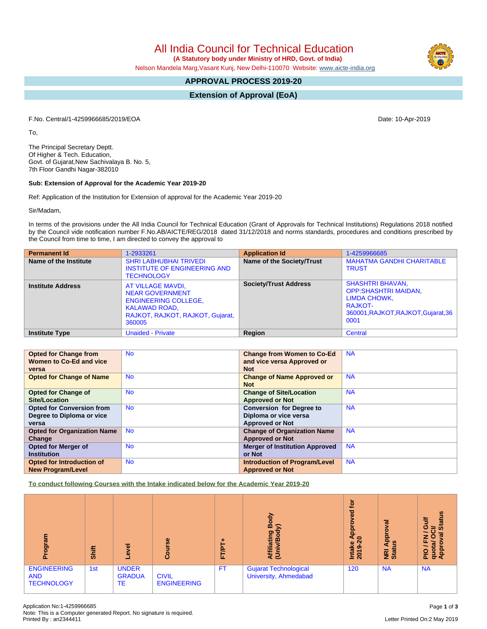All India Council for Technical Education

 **(A Statutory body under Ministry of HRD, Govt. of India)**

Nelson Mandela Marg,Vasant Kunj, New Delhi-110070 Website: [www.aicte-india.org](http://www.aicte-india.org)

# **APPROVAL PROCESS 2019-20**

**Extension of Approval (EoA)**

F.No. Central/1-4259966685/2019/EOA Date: 10-Apr-2019

To,

The Principal Secretary Deptt. Of Higher & Tech. Education, Govt. of Gujarat,New Sachivalaya B. No. 5, 7th Floor Gandhi Nagar-382010

#### **Sub: Extension of Approval for the Academic Year 2019-20**

Ref: Application of the Institution for Extension of approval for the Academic Year 2019-20

Sir/Madam,

In terms of the provisions under the All India Council for Technical Education (Grant of Approvals for Technical Institutions) Regulations 2018 notified by the Council vide notification number F.No.AB/AICTE/REG/2018 dated 31/12/2018 and norms standards, procedures and conditions prescribed by the Council from time to time, I am directed to convey the approval to

| <b>Permanent Id</b>      | 1-2933261                                                                                                                                        | <b>Application Id</b>        | 1-4259966685                                                                                                                     |
|--------------------------|--------------------------------------------------------------------------------------------------------------------------------------------------|------------------------------|----------------------------------------------------------------------------------------------------------------------------------|
| Name of the Institute    | <b>SHRI LABHUBHAI TRIVEDI</b><br><b>INSTITUTE OF ENGINEERING AND</b><br><b>TECHNOLOGY</b>                                                        | Name of the Society/Trust    | <b>MAHATMA GANDHI CHARITABLE</b><br><b>TRUST</b>                                                                                 |
| <b>Institute Address</b> | AT VILLAGE MAVDI,<br><b>NEAR GOVERNMENT</b><br><b>ENGINEERING COLLEGE,</b><br><b>KALAWAD ROAD,</b><br>RAJKOT, RAJKOT, RAJKOT, Gujarat,<br>360005 | <b>Society/Trust Address</b> | <b>SHASHTRI BHAVAN,</b><br><b>OPP:SHASHTRI MAIDAN,</b><br>LIMDA CHOWK,<br>RAJKOT-<br>360001, RAJKOT, RAJKOT, Gujarat, 36<br>0001 |
| <b>Institute Type</b>    | <b>Unaided - Private</b>                                                                                                                         | <b>Region</b>                | Central                                                                                                                          |

| <b>Opted for Change from</b>       | <b>No</b> | <b>Change from Women to Co-Ed</b>     | <b>NA</b> |
|------------------------------------|-----------|---------------------------------------|-----------|
| Women to Co-Ed and vice            |           | and vice versa Approved or            |           |
| versa                              |           | <b>Not</b>                            |           |
| <b>Opted for Change of Name</b>    | <b>No</b> | <b>Change of Name Approved or</b>     | <b>NA</b> |
|                                    |           | <b>Not</b>                            |           |
| <b>Opted for Change of</b>         | <b>No</b> | <b>Change of Site/Location</b>        | <b>NA</b> |
| Site/Location                      |           | <b>Approved or Not</b>                |           |
| <b>Opted for Conversion from</b>   | <b>No</b> | <b>Conversion for Degree to</b>       | <b>NA</b> |
| Degree to Diploma or vice          |           | Diploma or vice versa                 |           |
| versa                              |           | <b>Approved or Not</b>                |           |
| <b>Opted for Organization Name</b> | <b>No</b> | <b>Change of Organization Name</b>    | <b>NA</b> |
| Change                             |           | <b>Approved or Not</b>                |           |
| <b>Opted for Merger of</b>         | <b>No</b> | <b>Merger of Institution Approved</b> | <b>NA</b> |
| <b>Institution</b>                 |           | or Not                                |           |
| <b>Opted for Introduction of</b>   | <b>No</b> | <b>Introduction of Program/Level</b>  | <b>NA</b> |
| <b>New Program/Level</b>           |           | <b>Approved or Not</b>                |           |

**To conduct following Courses with the Intake indicated below for the Academic Year 2019-20**

| ogram<br>ք                                            | Shift | $\overline{\bullet}$<br>$\ddot{\mathbf{v}}$ | rse<br><b>Joa</b>                  | <b>FT/P</b> | る<br>ᅃ<br>≲<br>ы<br>iatir<br>മ<br>₹Ξ           | tor<br>ಠ<br>٥<br>Āppi<br>$\circ$<br>Intake<br>2019-2 | ख़<br>ō<br>Appi<br><b>CO</b><br><b>E</b><br>Stat | <b>Status</b><br>₹<br>O<br>≳<br>œ<br>z<br>$\bullet$<br>ш<br>$\mathbf{E}$<br>quot;<br>Appr<br>PIO |
|-------------------------------------------------------|-------|---------------------------------------------|------------------------------------|-------------|------------------------------------------------|------------------------------------------------------|--------------------------------------------------|--------------------------------------------------------------------------------------------------|
| <b>ENGINEERING</b><br><b>AND</b><br><b>TECHNOLOGY</b> | 1st   | <b>UNDER</b><br><b>GRADUA</b><br>TE         | <b>CIVIL</b><br><b>ENGINEERING</b> | FT.         | Gujarat Technological<br>University, Ahmedabad | 120                                                  | <b>NA</b>                                        | <b>NA</b>                                                                                        |

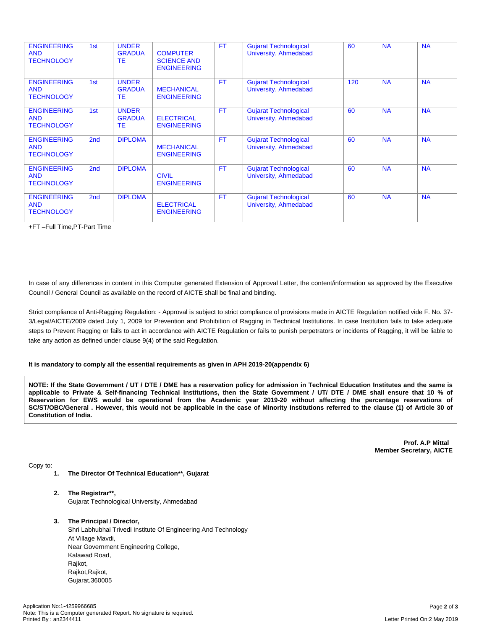| <b>ENGINEERING</b><br><b>AND</b><br><b>TECHNOLOGY</b> | 1st             | <b>UNDER</b><br><b>GRADUA</b><br>TE.       | <b>COMPUTER</b><br><b>SCIENCE AND</b><br><b>ENGINEERING</b> | <b>FT</b> | <b>Gujarat Technological</b><br>University, Ahmedabad | 60  | <b>NA</b> | <b>NA</b> |
|-------------------------------------------------------|-----------------|--------------------------------------------|-------------------------------------------------------------|-----------|-------------------------------------------------------|-----|-----------|-----------|
| <b>ENGINEERING</b><br><b>AND</b><br><b>TECHNOLOGY</b> | 1st             | <b>UNDER</b><br><b>GRADUA</b><br>TE.       | <b>MECHANICAL</b><br><b>ENGINEERING</b>                     | <b>FT</b> | <b>Gujarat Technological</b><br>University, Ahmedabad | 120 | <b>NA</b> | <b>NA</b> |
| <b>ENGINEERING</b><br><b>AND</b><br><b>TECHNOLOGY</b> | 1st             | <b>UNDER</b><br><b>GRADUA</b><br><b>TE</b> | <b>ELECTRICAL</b><br><b>ENGINEERING</b>                     | <b>FT</b> | <b>Gujarat Technological</b><br>University, Ahmedabad | 60  | <b>NA</b> | <b>NA</b> |
| <b>ENGINEERING</b><br><b>AND</b><br><b>TECHNOLOGY</b> | 2 <sub>nd</sub> | <b>DIPLOMA</b>                             | <b>MECHANICAL</b><br><b>ENGINEERING</b>                     | <b>FT</b> | <b>Gujarat Technological</b><br>University, Ahmedabad | 60  | <b>NA</b> | <b>NA</b> |
| <b>ENGINEERING</b><br><b>AND</b><br><b>TECHNOLOGY</b> | 2 <sub>nd</sub> | <b>DIPLOMA</b>                             | <b>CIVIL</b><br><b>ENGINEERING</b>                          | <b>FT</b> | <b>Gujarat Technological</b><br>University, Ahmedabad | 60  | <b>NA</b> | <b>NA</b> |
| <b>ENGINEERING</b><br><b>AND</b><br><b>TECHNOLOGY</b> | 2 <sub>nd</sub> | <b>DIPLOMA</b>                             | <b>ELECTRICAL</b><br><b>ENGINEERING</b>                     | <b>FT</b> | <b>Gujarat Technological</b><br>University, Ahmedabad | 60  | <b>NA</b> | <b>NA</b> |

+FT –Full Time,PT-Part Time

In case of any differences in content in this Computer generated Extension of Approval Letter, the content/information as approved by the Executive Council / General Council as available on the record of AICTE shall be final and binding.

Strict compliance of Anti-Ragging Regulation: - Approval is subject to strict compliance of provisions made in AICTE Regulation notified vide F. No. 37- 3/Legal/AICTE/2009 dated July 1, 2009 for Prevention and Prohibition of Ragging in Technical Institutions. In case Institution fails to take adequate steps to Prevent Ragging or fails to act in accordance with AICTE Regulation or fails to punish perpetrators or incidents of Ragging, it will be liable to take any action as defined under clause 9(4) of the said Regulation.

#### **It is mandatory to comply all the essential requirements as given in APH 2019-20(appendix 6)**

NOTE: If the State Government / UT / DTE / DME has a reservation policy for admission in Technical Education Institutes and the same is applicable to Private & Self-financing Technical Institutions, then the State Government / UT/ DTE / DME shall ensure that 10 % of Reservation for EWS would be operational from the Academic year 2019-20 without affecting the percentage reservations of SC/ST/OBC/General . However, this would not be applicable in the case of Minority Institutions referred to the clause (1) of Article 30 of **Constitution of India.**

> **Prof. A.P Mittal Member Secretary, AICTE**

Copy to:

- **1. The Director Of Technical Education\*\*, Gujarat**
- **2. The Registrar\*\*,** Gujarat Technological University, Ahmedabad
- **3. The Principal / Director,**

Shri Labhubhai Trivedi Institute Of Engineering And Technology At Village Mavdi, Near Government Engineering College, Kalawad Road, Rajkot, Rajkot, Rajkot, Gujarat,360005